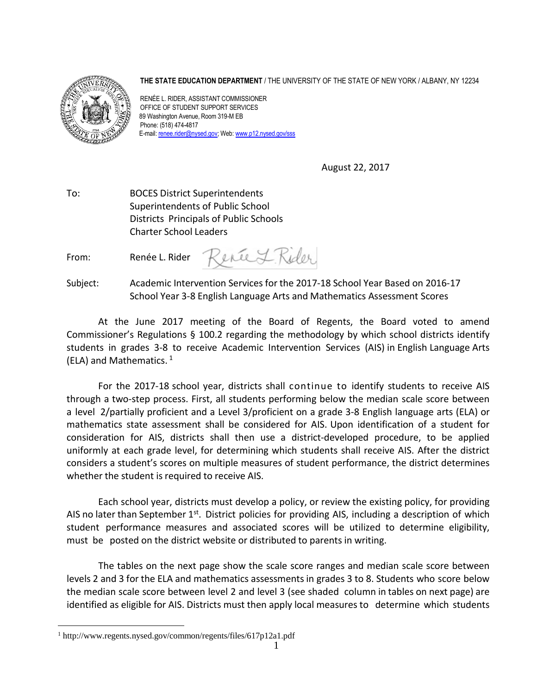

**THE STATE EDUCATION DEPARTMENT** / THE UNIVERSITY OF THE STATE OF NEW YORK / ALBANY, NY 12234

RENÉE L. RIDER, ASSISTANT COMMISSIONER OFFICE OF STUDENT SUPPORT SERVICES 89 Washington Avenue, Room 319-M EB Phone: (518) 474-4817 E-mail: [renee.rider@nysed.gov;](mailto:renee.rider@nysed.gov) Web: [www.p12.nysed.gov/sss](http://www.p12.nysed.gov/sss/)

August 22, 2017

To: BOCES District Superintendents Superintendents of Public School Districts Principals of Public Schools Charter School Leaders

Rene L. Rider From: Renée L. Rider

Subject: Academic Intervention Services for the 2017-18 School Year Based on 2016-17 School Year 3-8 English Language Arts and Mathematics Assessment Scores

At the June 2017 meeting of the Board of Regents, the Board voted to amend Commissioner's Regulations § 100.2 regarding the methodology by which school districts identify students in grades 3-8 to receive Academic Intervention Services (AIS) in English Language Arts (ELA) and Mathematics. 1

For the 2017-18 school year, districts shall continue to identify students to receive AIS through a two-step process. First, all students performing below the median scale score between a level 2/partially proficient and a Level 3/proficient on a grade 3-8 English language arts (ELA) or mathematics state assessment shall be considered for AIS. Upon identification of a student for consideration for AIS, districts shall then use a district-developed procedure, to be applied uniformly at each grade level, for determining which students shall receive AIS. After the district considers a student's scores on multiple measures of student performance, the district determines whether the student is required to receive AIS.

Each school year, districts must develop a policy, or review the existing policy, for providing AIS no later than September 1<sup>st</sup>. District policies for providing AIS, including a description of which student performance measures and associated scores will be utilized to determine eligibility, must be posted on the district website or distributed to parents in writing.

The tables on the next page show the scale score ranges and median scale score between levels 2 and 3 for the ELA and mathematics assessments in grades 3 to 8. Students who score below the median scale score between level 2 and level 3 (see shaded column in tables on next page) are identified as eligible for AIS. Districts must then apply local measures to determine which students

 $\overline{a}$ 

<sup>1</sup> http://www.regents.nysed.gov/common/regents/files/617p12a1.pdf